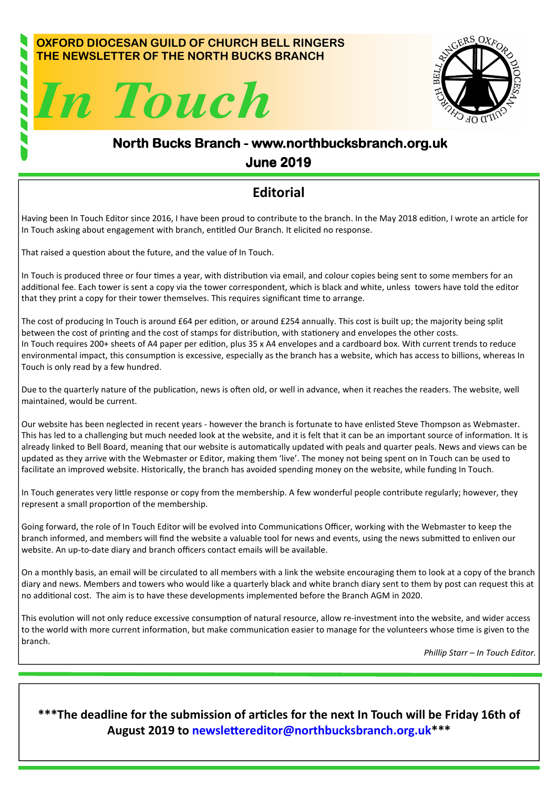#### OXFORD DIOCESAN GUILD OF CHURCH BELL RINGERS THE NEWSLETTER OF THE NORTH BUCKS BRANCH





## North Bucks Branch - www.northbucksbranch.org.uk June 2019 June 2019

### **Editorial**

Having been In Touch Editor since 2016, I have been proud to contribute to the branch. In the May 2018 edition, I wrote an article for In Touch asking about engagement with branch, entitled Our Branch. It elicited no response.

That raised a question about the future, and the value of In Touch.

In Touch is produced three or four times a year, with distribution via email, and colour copies being sent to some members for an additional fee. Each tower is sent a copy via the tower correspondent, which is black and white, unless towers have told the editor that they print a copy for their tower themselves. This requires significant time to arrange.

The cost of producing In Touch is around £64 per edition, or around £254 annually. This cost is built up; the majority being split between the cost of printing and the cost of stamps for distribution, with stationery and envelopes the other costs. In Touch requires 200+ sheets of A4 paper per edition, plus 35 x A4 envelopes and a cardboard box. With current trends to reduce environmental impact, this consumption is excessive, especially as the branch has a website, which has access to billions, whereas In Touch is only read by a few hundred.

Due to the quarterly nature of the publication, news is often old, or well in advance, when it reaches the readers. The website, well maintained, would be current.

Our website has been neglected in recent years - however the branch is fortunate to have enlisted Steve Thompson as Webmaster. This has led to a challenging but much needed look at the website, and it is felt that it can be an important source of information. It is already linked to Bell Board, meaning that our website is automatically updated with peals and quarter peals. News and views can be updated as they arrive with the Webmaster or Editor, making them 'live'. The money not being spent on In Touch can be used to facilitate an improved website. Historically, the branch has avoided spending money on the website, while funding In Touch.

In Touch generates very little response or copy from the membership. A few wonderful people contribute regularly; however, they represent a small proportion of the membership.

Going forward, the role of In Touch Editor will be evolved into Communications Officer, working with the Webmaster to keep the branch informed, and members will find the website a valuable tool for news and events, using the news submitted to enliven our website. An up-to-date diary and branch officers contact emails will be available.

On a monthly basis, an email will be circulated to all members with a link the website encouraging them to look at a copy of the branch diary and news. Members and towers who would like a quarterly black and white branch diary sent to them by post can request this at no additional cost. The aim is to have these developments implemented before the Branch AGM in 2020.

This evolution will not only reduce excessive consumption of natural resource, allow re-investment into the website, and wider access to the world with more current information, but make communication easier to manage for the volunteers whose time is given to the branch.

Phillip Starr – In Touch Editor.

\*\*\*The deadline for the submission of articles for the next In Touch will be Friday 16th of August 2019 to newslettereditor@northbucksbranch.org.uk\*\*\*

I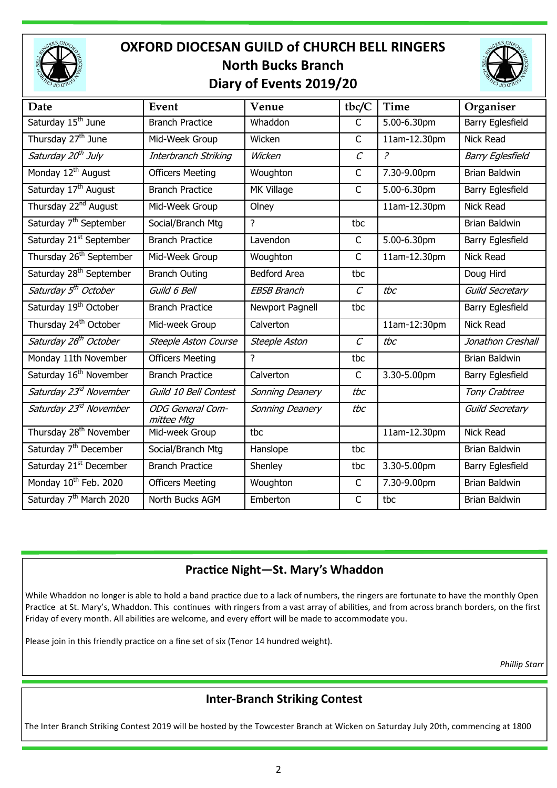

# OXFORD DIOCESAN GUILD of CHURCH BELL RINGERS North Bucks Branch Diary of Events 2019/20



| Date                                | Event                                 | Venue               | tbc/C             | <b>Time</b>                | Organiser               |
|-------------------------------------|---------------------------------------|---------------------|-------------------|----------------------------|-------------------------|
| Saturday 15 <sup>th</sup> June      | <b>Branch Practice</b>                | Whaddon             | $\mathsf{C}$      | 5.00-6.30pm                | <b>Barry Eglesfield</b> |
| Thursday 27 <sup>th</sup> June      | Mid-Week Group                        | Wicken              | $\mathsf{C}$      | $\overline{11am-1}$ 2.30pm | Nick Read               |
| Saturday 20 <sup>th</sup> July      | Interbranch Striking                  | Wicken              | $\mathcal{C}$     | $\overline{a}$             | <b>Barry Eglesfield</b> |
| Monday 12 <sup>th</sup> August      | <b>Officers Meeting</b>               | Woughton            | C                 | 7.30-9.00pm                | <b>Brian Baldwin</b>    |
| Saturday 17 <sup>th</sup> August    | <b>Branch Practice</b>                | MK Village          | $\mathsf{C}$      | 5.00-6.30pm                | Barry Eglesfield        |
| Thursday 22 <sup>nd</sup> August    | Mid-Week Group                        | Olney               |                   | 11am-12.30pm               | Nick Read               |
| Saturday 7 <sup>th</sup> September  | Social/Branch Mtg                     | ?                   | tbc               |                            | Brian Baldwin           |
| Saturday 21 <sup>st</sup> September | <b>Branch Practice</b>                | Lavendon            | C                 | 5.00-6.30pm                | Barry Eglesfield        |
| Thursday 26 <sup>th</sup> September | Mid-Week Group                        | Woughton            | C                 | 11am-12.30pm               | Nick Read               |
| Saturday 28 <sup>th</sup> September | <b>Branch Outing</b>                  | <b>Bedford Area</b> | tbc               |                            | Doug Hird               |
| Saturday 5 <sup>th</sup> October    | Guild 6 Bell                          | <b>EBSB Branch</b>  | $\mathcal{C}_{0}$ | tbc                        | <b>Guild Secretary</b>  |
| Saturday 19 <sup>th</sup> October   | <b>Branch Practice</b>                | Newport Pagnell     | tbc               |                            | Barry Eglesfield        |
| Thursday 24 <sup>th</sup> October   | Mid-week Group                        | Calverton           |                   | 11am-12:30pm               | Nick Read               |
| Saturday 26 <sup>th</sup> October   | <b>Steeple Aston Course</b>           | Steeple Aston       | $\mathcal{C}_{0}$ | tbc                        | Jonathon Creshall       |
| Monday 11th November                | <b>Officers Meeting</b>               | ?                   | tbc               |                            | Brian Baldwin           |
| Saturday 16 <sup>th</sup> November  | <b>Branch Practice</b>                | Calverton           | $\mathsf{C}$      | 3.30-5.00pm                | Barry Eglesfield        |
| Saturday 23 <sup>rd</sup> November  | Guild 10 Bell Contest                 | Sonning Deanery     | tbc               |                            | Tony Crabtree           |
| Saturday 23 <sup>rd</sup> November  | <b>ODG</b> General Com-<br>mittee Mtg | Sonning Deanery     | tbc               |                            | Guild Secretary         |
| Thursday 28 <sup>th</sup> November  | Mid-week Group                        | tbc                 |                   | 11am-12.30pm               | Nick Read               |
| Saturday 7 <sup>th</sup> December   | Social/Branch Mtg                     | Hanslope            | tbc               |                            | Brian Baldwin           |
| Saturday 21 <sup>st</sup> December  | <b>Branch Practice</b>                | Shenley             | tbc               | 3.30-5.00pm                | <b>Barry Eglesfield</b> |
| Monday 10 <sup>th</sup> Feb. 2020   | <b>Officers Meeting</b>               | Woughton            | $\mathsf{C}$      | 7.30-9.00pm                | Brian Baldwin           |
| Saturday 7 <sup>th</sup> March 2020 | North Bucks AGM                       | Emberton            | $\overline{C}$    | tbc                        | Brian Baldwin           |

#### Practice Night-St. Mary's Whaddon

While Whaddon no longer is able to hold a band practice due to a lack of numbers, the ringers are fortunate to have the monthly Open Practice at St. Mary's, Whaddon. This continues with ringers from a vast array of abilities, and from across branch borders, on the first Friday of every month. All abilities are welcome, and every effort will be made to accommodate you.

Please join in this friendly practice on a fine set of six (Tenor 14 hundred weight).

Phillip Starr

#### Inter-Branch Striking Contest

The Inter Branch Striking Contest 2019 will be hosted by the Towcester Branch at Wicken on Saturday July 20th, commencing at 1800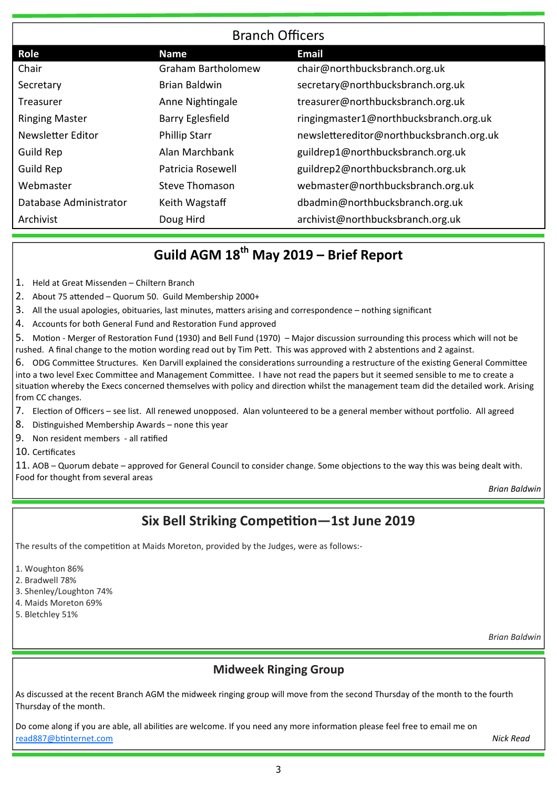| <b>Branch Officers</b> |                           |                                          |  |  |
|------------------------|---------------------------|------------------------------------------|--|--|
| <b>Role</b>            | <b>Name</b>               | <b>Email</b>                             |  |  |
| Chair                  | <b>Graham Bartholomew</b> | chair@northbucksbranch.org.uk            |  |  |
| Secretary              | Brian Baldwin             | secretary@northbucksbranch.org.uk        |  |  |
| Treasurer              | Anne Nightingale          | treasurer@northbucksbranch.org.uk        |  |  |
| <b>Ringing Master</b>  | <b>Barry Eglesfield</b>   | ringingmaster1@northbucksbranch.org.uk   |  |  |
| Newsletter Editor      | <b>Phillip Starr</b>      | newslettereditor@northbucksbranch.org.uk |  |  |
| Guild Rep              | Alan Marchbank            | guildrep1@northbucksbranch.org.uk        |  |  |
| <b>Guild Rep</b>       | Patricia Rosewell         | guildrep2@northbucksbranch.org.uk        |  |  |
| Webmaster              | <b>Steve Thomason</b>     | webmaster@northbucksbranch.org.uk        |  |  |
| Database Administrator | Keith Wagstaff            | dbadmin@northbucksbranch.org.uk          |  |  |
| Archivist              | Doug Hird                 | archivist@northbucksbranch.org.uk        |  |  |

# Guild AGM  $18^{th}$  May 2019 – Brief Report

- 1. Held at Great Missenden Chiltern Branch
- 2. About 75 attended Quorum 50. Guild Membership 2000+
- 3. All the usual apologies, obituaries, last minutes, matters arising and correspondence nothing significant
- 4. Accounts for both General Fund and Restoration Fund approved

5. Motion - Merger of Restoration Fund (1930) and Bell Fund (1970) – Major discussion surrounding this process which will not be rushed. A final change to the motion wording read out by Tim Pett. This was approved with 2 abstentions and 2 against.

- 6. ODG Committee Structures. Ken Darvill explained the considerations surrounding a restructure of the existing General Committee into a two level Exec Committee and Management Committee. I have not read the papers but it seemed sensible to me to create a situation whereby the Execs concerned themselves with policy and direction whilst the management team did the detailed work. Arising from CC changes.
- 7. Election of Officers see list. All renewed unopposed. Alan volunteered to be a general member without portfolio. All agreed
- 8. Distinguished Membership Awards none this year
- 9. Non resident members all rafied
- 10. Cerficates

11. AOB – Quorum debate – approved for General Council to consider change. Some objections to the way this was being dealt with. Food for thought from several areas

Brian Baldwin

## Six Bell Striking Competition—1st June 2019

The results of the competition at Maids Moreton, provided by the Judges, were as follows:-

- 1. Woughton 86%
- 2. Bradwell 78%
- 3. Shenley/Loughton 74%
- 4. Maids Moreton 69%
- 5. Bletchley 51%

Brian Baldwin

#### Midweek Ringing Group

As discussed at the recent Branch AGM the midweek ringing group will move from the second Thursday of the month to the fourth Thursday of the month.

Do come along if you are able, all abilities are welcome. If you need any more information please feel free to email me on read887@btinternet.com **Nick Read**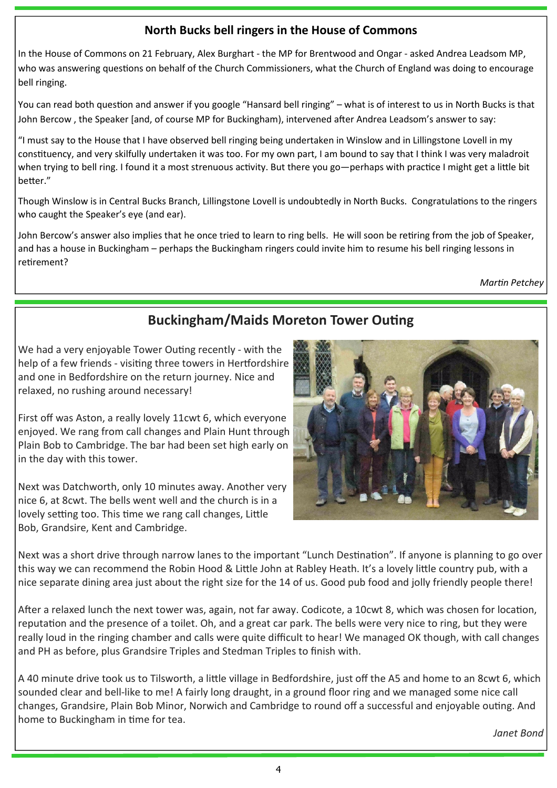#### North Bucks bell ringers in the House of Commons

In the House of Commons on 21 February, Alex Burghart - the MP for Brentwood and Ongar - asked Andrea Leadsom MP, who was answering questions on behalf of the Church Commissioners, what the Church of England was doing to encourage bell ringing.

You can read both question and answer if you google "Hansard bell ringing" – what is of interest to us in North Bucks is that John Bercow, the Speaker [and, of course MP for Buckingham), intervened after Andrea Leadsom's answer to say:

"I must say to the House that I have observed bell ringing being undertaken in Winslow and in Lillingstone Lovell in my constituency, and very skilfully undertaken it was too. For my own part, I am bound to say that I think I was very maladroit when trying to bell ring. I found it a most strenuous activity. But there you go—perhaps with practice I might get a little bit better."

Though Winslow is in Central Bucks Branch, Lillingstone Lovell is undoubtedly in North Bucks. Congratulations to the ringers who caught the Speaker's eye (and ear).

John Bercow's answer also implies that he once tried to learn to ring bells. He will soon be retiring from the job of Speaker, and has a house in Buckingham – perhaps the Buckingham ringers could invite him to resume his bell ringing lessons in retirement?

**Martin Petchey** 

## **Buckingham/Maids Moreton Tower Outing**

We had a very enjoyable Tower Outing recently - with the help of a few friends - visiting three towers in Hertfordshire and one in Bedfordshire on the return journey. Nice and relaxed, no rushing around necessary!

First off was Aston, a really lovely 11cwt 6, which everyone enjoyed. We rang from call changes and Plain Hunt through Plain Bob to Cambridge. The bar had been set high early on in the day with this tower.

Next was Datchworth, only 10 minutes away. Another very nice 6, at 8cwt. The bells went well and the church is in a lovely setting too. This time we rang call changes, Little Bob, Grandsire, Kent and Cambridge.



Next was a short drive through narrow lanes to the important "Lunch Destination". If anyone is planning to go over this way we can recommend the Robin Hood & Little John at Rabley Heath. It's a lovely little country pub, with a nice separate dining area just about the right size for the 14 of us. Good pub food and jolly friendly people there!

After a relaxed lunch the next tower was, again, not far away. Codicote, a 10cwt 8, which was chosen for location. reputation and the presence of a toilet. Oh, and a great car park. The bells were very nice to ring, but they were really loud in the ringing chamber and calls were quite difficult to hear! We managed OK though, with call changes and PH as before, plus Grandsire Triples and Stedman Triples to finish with.

A 40 minute drive took us to Tilsworth, a little village in Bedfordshire, just off the A5 and home to an 8cwt 6, which sounded clear and bell-like to me! A fairly long draught, in a ground floor ring and we managed some nice call changes, Grandsire, Plain Bob Minor, Norwich and Cambridge to round off a successful and enjoyable outing. And home to Buckingham in time for tea.

Janet Bond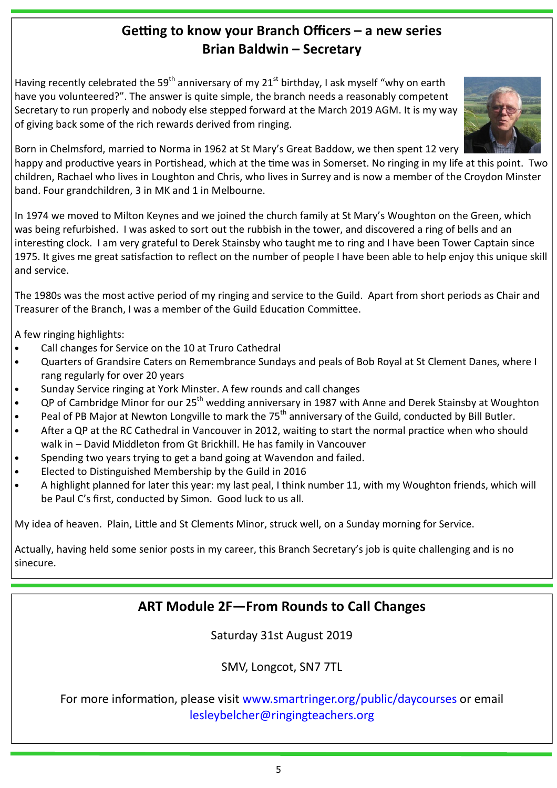## Getting to know your Branch Officers – a new series Brian Baldwin – Secretary

Having recently celebrated the 59<sup>th</sup> anniversary of my 21<sup>st</sup> birthday, I ask myself "why on earth have you volunteered?". The answer is quite simple, the branch needs a reasonably competent Secretary to run properly and nobody else stepped forward at the March 2019 AGM. It is my way of giving back some of the rich rewards derived from ringing.



Born in Chelmsford, married to Norma in 1962 at St Mary's Great Baddow, we then spent 12 very

happy and productive years in Portishead, which at the time was in Somerset. No ringing in my life at this point. Two children, Rachael who lives in Loughton and Chris, who lives in Surrey and is now a member of the Croydon Minster band. Four grandchildren, 3 in MK and 1 in Melbourne.

In 1974 we moved to Milton Keynes and we joined the church family at St Mary's Woughton on the Green, which was being refurbished. I was asked to sort out the rubbish in the tower, and discovered a ring of bells and an interesting clock. I am very grateful to Derek Stainsby who taught me to ring and I have been Tower Captain since 1975. It gives me great satisfaction to reflect on the number of people I have been able to help enjoy this unique skill and service.

The 1980s was the most active period of my ringing and service to the Guild. Apart from short periods as Chair and Treasurer of the Branch, I was a member of the Guild Education Committee.

A few ringing highlights:

- Call changes for Service on the 10 at Truro Cathedral
- Quarters of Grandsire Caters on Remembrance Sundays and peals of Bob Royal at St Clement Danes, where I rang regularly for over 20 years
- Sunday Service ringing at York Minster. A few rounds and call changes
- QP of Cambridge Minor for our 25<sup>th</sup> wedding anniversary in 1987 with Anne and Derek Stainsby at Woughton
- Peal of PB Major at Newton Longville to mark the 75<sup>th</sup> anniversary of the Guild, conducted by Bill Butler.
- After a QP at the RC Cathedral in Vancouver in 2012, waiting to start the normal practice when who should walk in – David Middleton from Gt Brickhill. He has family in Vancouver
- Spending two years trying to get a band going at Wavendon and failed.
- Elected to Distinguished Membership by the Guild in 2016
- A highlight planned for later this year: my last peal, I think number 11, with my Woughton friends, which will be Paul C's first, conducted by Simon. Good luck to us all.

My idea of heaven. Plain, Little and St Clements Minor, struck well, on a Sunday morning for Service.

Actually, having held some senior posts in my career, this Branch Secretary's job is quite challenging and is no sinecure.

## ART Module 2F—From Rounds to Call Changes

Saturday 31st August 2019

SMV, Longcot, SN7 7TL

For more information, please visit www.smartringer.org/public/daycourses or email lesleybelcher@ringingteachers.org